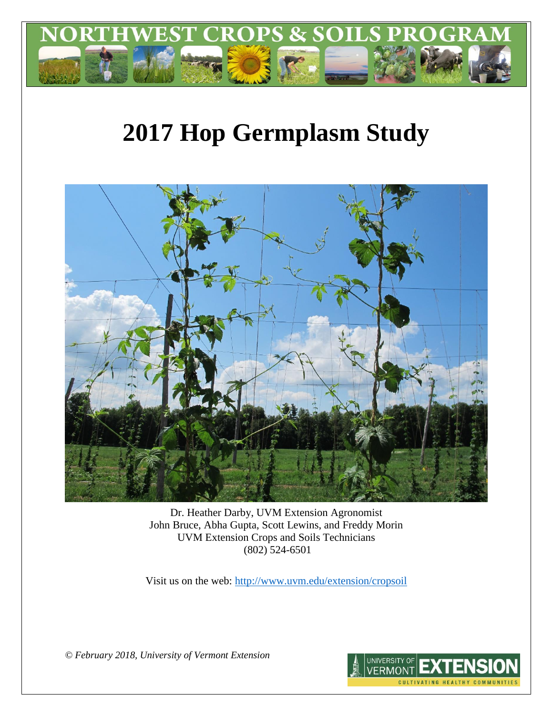

# **2017 Hop Germplasm Study**



Dr. Heather Darby, UVM Extension Agronomist John Bruce, Abha Gupta, Scott Lewins, and Freddy Morin UVM Extension Crops and Soils Technicians (802) 524-6501

Visit us on the web:<http://www.uvm.edu/extension/cropsoil>

*© February 2018, University of Vermont Extension*

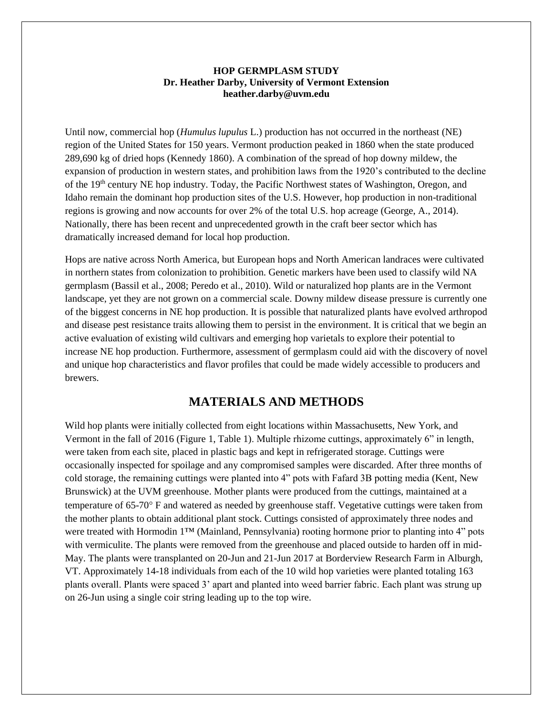#### **HOP GERMPLASM STUDY Dr. Heather Darby, University of Vermont Extension heather.darby@uvm.edu**

Until now, commercial hop (*Humulus lupulus* L.) production has not occurred in the northeast (NE) region of the United States for 150 years. Vermont production peaked in 1860 when the state produced 289,690 kg of dried hops (Kennedy 1860). A combination of the spread of hop downy mildew, the expansion of production in western states, and prohibition laws from the 1920's contributed to the decline of the 19th century NE hop industry. Today, the Pacific Northwest states of Washington, Oregon, and Idaho remain the dominant hop production sites of the U.S. However, hop production in non-traditional regions is growing and now accounts for over 2% of the total U.S. hop acreage (George, A., 2014). Nationally, there has been recent and unprecedented growth in the craft beer sector which has dramatically increased demand for local hop production.

Hops are native across North America, but European hops and North American landraces were cultivated in northern states from colonization to prohibition. Genetic markers have been used to classify wild NA germplasm (Bassil et al., 2008; Peredo et al., 2010). Wild or naturalized hop plants are in the Vermont landscape, yet they are not grown on a commercial scale. Downy mildew disease pressure is currently one of the biggest concerns in NE hop production. It is possible that naturalized plants have evolved arthropod and disease pest resistance traits allowing them to persist in the environment. It is critical that we begin an active evaluation of existing wild cultivars and emerging hop varietals to explore their potential to increase NE hop production. Furthermore, assessment of germplasm could aid with the discovery of novel and unique hop characteristics and flavor profiles that could be made widely accessible to producers and brewers.

# **MATERIALS AND METHODS**

Wild hop plants were initially collected from eight locations within Massachusetts, New York, and Vermont in the fall of 2016 (Figure 1, Table 1). Multiple rhizome cuttings, approximately 6" in length, were taken from each site, placed in plastic bags and kept in refrigerated storage. Cuttings were occasionally inspected for spoilage and any compromised samples were discarded. After three months of cold storage, the remaining cuttings were planted into 4" pots with Fafard 3B potting media (Kent, New Brunswick) at the UVM greenhouse. Mother plants were produced from the cuttings, maintained at a temperature of 65-70 F and watered as needed by greenhouse staff. Vegetative cuttings were taken from the mother plants to obtain additional plant stock. Cuttings consisted of approximately three nodes and were treated with Hormodin 1™ (Mainland, Pennsylvania) rooting hormone prior to planting into 4" pots with vermiculite. The plants were removed from the greenhouse and placed outside to harden off in mid-May. The plants were transplanted on 20-Jun and 21-Jun 2017 at Borderview Research Farm in Alburgh, VT. Approximately 14-18 individuals from each of the 10 wild hop varieties were planted totaling 163 plants overall. Plants were spaced 3' apart and planted into weed barrier fabric. Each plant was strung up on 26-Jun using a single coir string leading up to the top wire.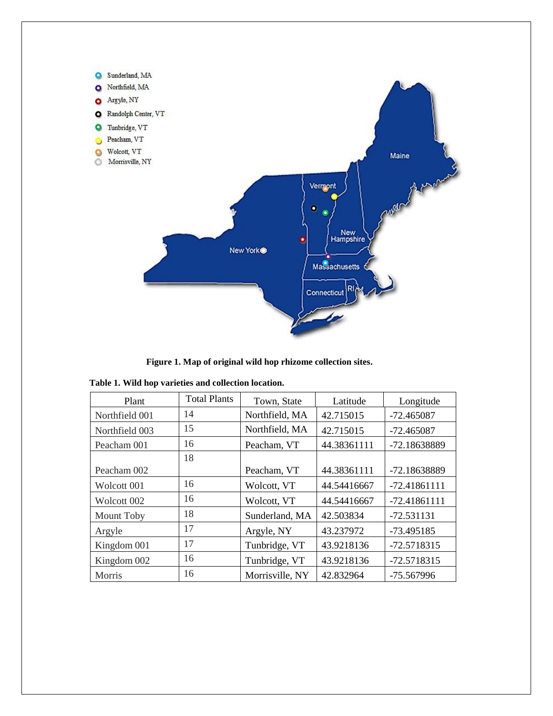

**Figure 1. Map of original wild hop rhizome collection sites.**

| Plant          | <b>Total Plants</b> | Town, State     | Latitude    | Longitude      |
|----------------|---------------------|-----------------|-------------|----------------|
| Northfield 001 | 14                  | Northfield, MA  | 42.715015   | $-72.465087$   |
| Northfield 003 | 15                  | Northfield, MA  | 42.715015   | $-72.465087$   |
| Peacham 001    | 16                  | Peacham, VT     | 44.38361111 | -72.18638889   |
|                | 18                  |                 |             |                |
| Peacham 002    |                     | Peacham, VT     | 44.38361111 | -72.18638889   |
| Wolcott 001    | 16                  | Wolcott, VT     | 44.54416667 | $-72.41861111$ |
| Wolcott 002    | 16                  | Wolcott, VT     | 44.54416667 | $-72.41861111$ |
| Mount Toby     | 18                  | Sunderland, MA  | 42.503834   | $-72.531131$   |
| Argyle         | 17                  | Argyle, NY      | 43.237972   | -73.495185     |
| Kingdom 001    | 17                  | Tunbridge, VT   | 43.9218136  | -72.5718315    |
| Kingdom 002    | 16                  | Tunbridge, VT   | 43.9218136  | -72.5718315    |
| Morris         | 16                  | Morrisville, NY | 42.832964   | -75.567996     |

**Table 1. Wild hop varieties and collection location.**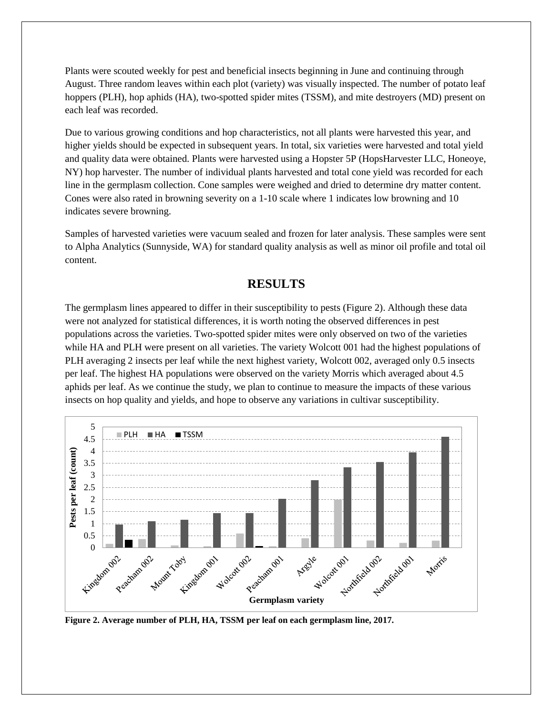Plants were scouted weekly for pest and beneficial insects beginning in June and continuing through August. Three random leaves within each plot (variety) was visually inspected. The number of potato leaf hoppers (PLH), hop aphids (HA), two-spotted spider mites (TSSM), and mite destroyers (MD) present on each leaf was recorded.

Due to various growing conditions and hop characteristics, not all plants were harvested this year, and higher yields should be expected in subsequent years. In total, six varieties were harvested and total yield and quality data were obtained. Plants were harvested using a Hopster 5P (HopsHarvester LLC, Honeoye, NY) hop harvester. The number of individual plants harvested and total cone yield was recorded for each line in the germplasm collection. Cone samples were weighed and dried to determine dry matter content. Cones were also rated in browning severity on a 1-10 scale where 1 indicates low browning and 10 indicates severe browning.

Samples of harvested varieties were vacuum sealed and frozen for later analysis. These samples were sent to Alpha Analytics (Sunnyside, WA) for standard quality analysis as well as minor oil profile and total oil content.

# **RESULTS**

The germplasm lines appeared to differ in their susceptibility to pests (Figure 2). Although these data were not analyzed for statistical differences, it is worth noting the observed differences in pest populations across the varieties. Two-spotted spider mites were only observed on two of the varieties while HA and PLH were present on all varieties. The variety Wolcott 001 had the highest populations of PLH averaging 2 insects per leaf while the next highest variety, Wolcott 002, averaged only 0.5 insects per leaf. The highest HA populations were observed on the variety Morris which averaged about 4.5 aphids per leaf. As we continue the study, we plan to continue to measure the impacts of these various insects on hop quality and yields, and hope to observe any variations in cultivar susceptibility.



**Figure 2. Average number of PLH, HA, TSSM per leaf on each germplasm line, 2017.**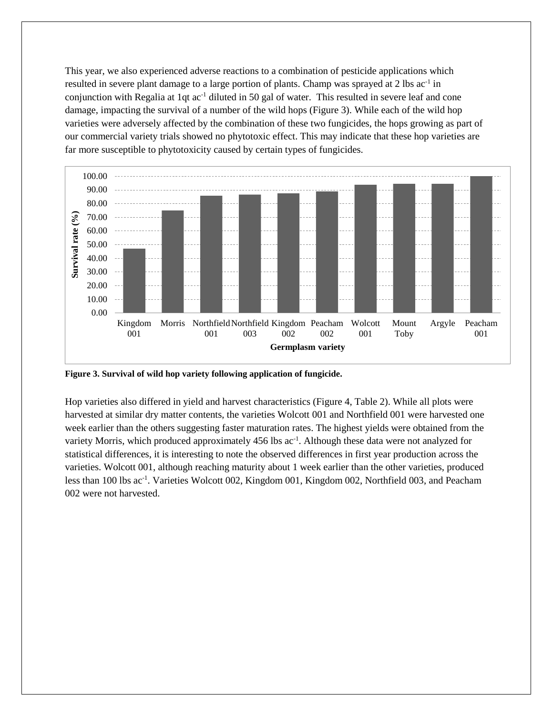This year, we also experienced adverse reactions to a combination of pesticide applications which resulted in severe plant damage to a large portion of plants. Champ was sprayed at 2 lbs ac<sup>-1</sup> in conjunction with Regalia at 1qt  $ac^{-1}$  diluted in 50 gal of water. This resulted in severe leaf and cone damage, impacting the survival of a number of the wild hops (Figure 3). While each of the wild hop varieties were adversely affected by the combination of these two fungicides, the hops growing as part of our commercial variety trials showed no phytotoxic effect. This may indicate that these hop varieties are far more susceptible to phytotoxicity caused by certain types of fungicides.



**Figure 3. Survival of wild hop variety following application of fungicide.**

Hop varieties also differed in yield and harvest characteristics (Figure 4, Table 2). While all plots were harvested at similar dry matter contents, the varieties Wolcott 001 and Northfield 001 were harvested one week earlier than the others suggesting faster maturation rates. The highest yields were obtained from the variety Morris, which produced approximately 456 lbs ac<sup>-1</sup>. Although these data were not analyzed for statistical differences, it is interesting to note the observed differences in first year production across the varieties. Wolcott 001, although reaching maturity about 1 week earlier than the other varieties, produced less than 100 lbs ac<sup>-1</sup>. Varieties Wolcott 002, Kingdom 001, Kingdom 002, Northfield 003, and Peacham 002 were not harvested.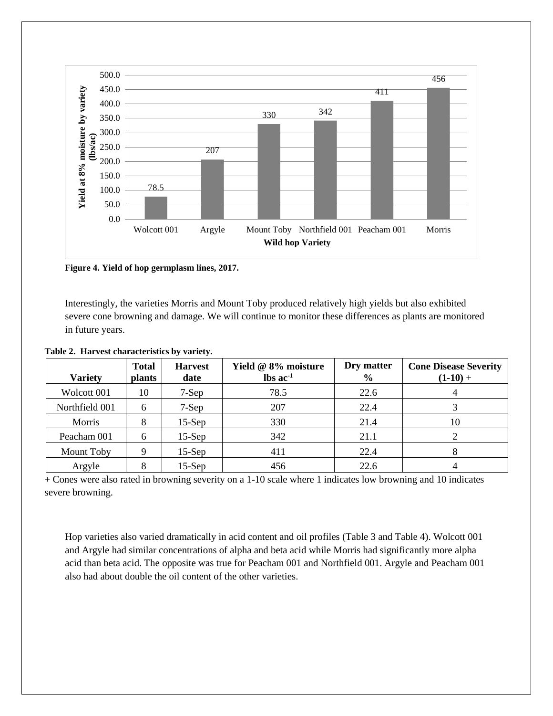

**Figure 4. Yield of hop germplasm lines, 2017.**

Interestingly, the varieties Morris and Mount Toby produced relatively high yields but also exhibited severe cone browning and damage. We will continue to monitor these differences as plants are monitored in future years.

| <b>Variety</b> | <b>Total</b><br><b>plants</b> | <b>Harvest</b><br>date | Yield @ 8% moisture<br>$\text{lbs}$ ac <sup>-1</sup> | Dry matter<br>$\frac{6}{6}$ | <b>Cone Disease Severity</b><br>$(1-10) +$ |
|----------------|-------------------------------|------------------------|------------------------------------------------------|-----------------------------|--------------------------------------------|
| Wolcott 001    | 10                            | $7-Sep$                | 78.5                                                 | 22.6                        |                                            |
| Northfield 001 | 6                             | $7-Sep$                | 207                                                  | 22.4                        |                                            |
| Morris         | 8                             | $15-Sep$               | 330                                                  | 21.4                        | 10                                         |
| Peacham 001    | 6                             | $15-Sep$               | 342                                                  | 21.1                        |                                            |
| Mount Toby     | 9                             | $15-Sep$               | 411                                                  | 22.4                        | 8                                          |
| Argyle         | 8                             | $15-Sep$               | 456                                                  | 22.6                        |                                            |

+ Cones were also rated in browning severity on a 1-10 scale where 1 indicates low browning and 10 indicates severe browning.

Hop varieties also varied dramatically in acid content and oil profiles (Table 3 and Table 4). Wolcott 001 and Argyle had similar concentrations of alpha and beta acid while Morris had significantly more alpha acid than beta acid. The opposite was true for Peacham 001 and Northfield 001. Argyle and Peacham 001 also had about double the oil content of the other varieties.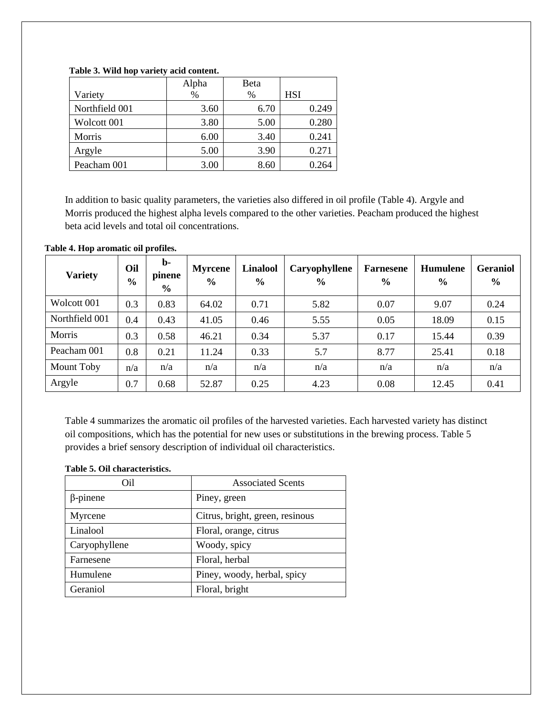### **Table 3. Wild hop variety acid content.**

|                | Alpha | Beta |            |
|----------------|-------|------|------------|
| Variety        | $\%$  | %    | <b>HSI</b> |
| Northfield 001 | 3.60  | 6.70 | 0.249      |
| Wolcott 001    | 3.80  | 5.00 | 0.280      |
| Morris         | 6.00  | 3.40 | 0.241      |
| Argyle         | 5.00  | 3.90 | 0.271      |
| Peacham 001    | 3.00  | 8.60 | 0.264      |

In addition to basic quality parameters, the varieties also differed in oil profile (Table 4). Argyle and Morris produced the highest alpha levels compared to the other varieties. Peacham produced the highest beta acid levels and total oil concentrations.

#### **Table 4. Hop aromatic oil profiles.**

| <b>Variety</b> | Oil<br>$\frac{0}{0}$ | $\mathbf{b}$<br>pinene<br>$\frac{6}{6}$ | <b>Myrcene</b><br>$\frac{6}{6}$ | <b>Linalool</b><br>$\frac{6}{6}$ | Caryophyllene<br>$\frac{6}{6}$ | <b>Farnesene</b><br>$\frac{6}{6}$ | <b>Humulene</b><br>$\frac{6}{6}$ | <b>Geraniol</b><br>$\frac{6}{6}$ |
|----------------|----------------------|-----------------------------------------|---------------------------------|----------------------------------|--------------------------------|-----------------------------------|----------------------------------|----------------------------------|
| Wolcott 001    | 0.3                  | 0.83                                    | 64.02                           | 0.71                             | 5.82                           | 0.07                              | 9.07                             | 0.24                             |
| Northfield 001 | 0.4                  | 0.43                                    | 41.05                           | 0.46                             | 5.55                           | 0.05                              | 18.09                            | 0.15                             |
| Morris         | 0.3                  | 0.58                                    | 46.21                           | 0.34                             | 5.37                           | 0.17                              | 15.44                            | 0.39                             |
| Peacham 001    | 0.8                  | 0.21                                    | 11.24                           | 0.33                             | 5.7                            | 8.77                              | 25.41                            | 0.18                             |
| Mount Toby     | n/a                  | n/a                                     | n/a                             | n/a                              | n/a                            | n/a                               | n/a                              | n/a                              |
| Argyle         | 0.7                  | 0.68                                    | 52.87                           | 0.25                             | 4.23                           | 0.08                              | 12.45                            | 0.41                             |

Table 4 summarizes the aromatic oil profiles of the harvested varieties. Each harvested variety has distinct oil compositions, which has the potential for new uses or substitutions in the brewing process. Table 5 provides a brief sensory description of individual oil characteristics.

#### **Table 5. Oil characteristics.**

| Oil             | <b>Associated Scents</b>        |
|-----------------|---------------------------------|
| $\beta$ -pinene | Piney, green                    |
| Myrcene         | Citrus, bright, green, resinous |
| Linalool        | Floral, orange, citrus          |
| Caryophyllene   | Woody, spicy                    |
| Farnesene       | Floral, herbal                  |
| Humulene        | Piney, woody, herbal, spicy     |
| Geraniol        | Floral, bright                  |